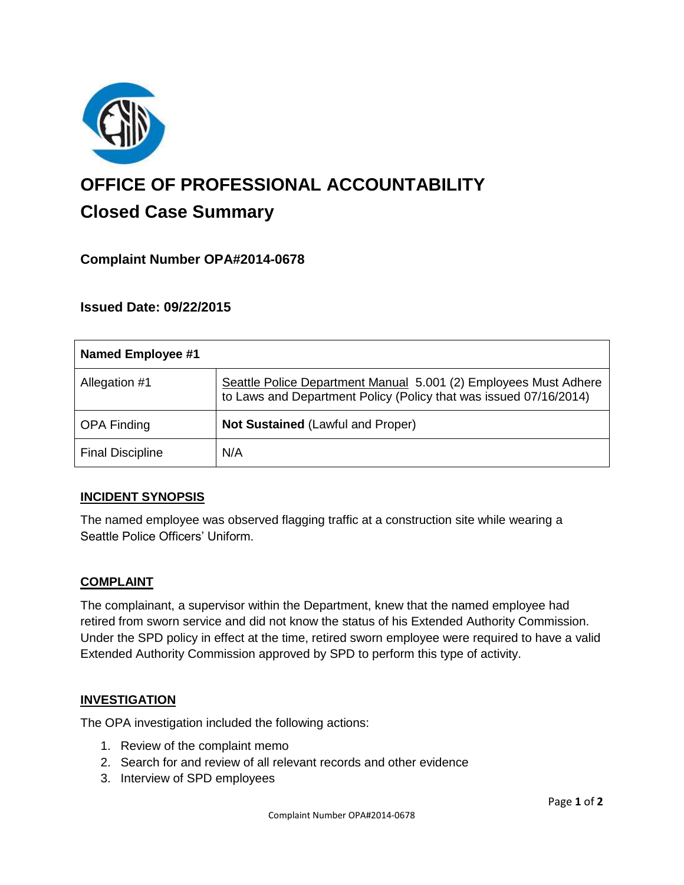

# **OFFICE OF PROFESSIONAL ACCOUNTABILITY Closed Case Summary**

# **Complaint Number OPA#2014-0678**

## **Issued Date: 09/22/2015**

| <b>Named Employee #1</b> |                                                                                                                                       |
|--------------------------|---------------------------------------------------------------------------------------------------------------------------------------|
| Allegation #1            | Seattle Police Department Manual 5.001 (2) Employees Must Adhere<br>to Laws and Department Policy (Policy that was issued 07/16/2014) |
| <b>OPA Finding</b>       | <b>Not Sustained (Lawful and Proper)</b>                                                                                              |
| <b>Final Discipline</b>  | N/A                                                                                                                                   |

## **INCIDENT SYNOPSIS**

The named employee was observed flagging traffic at a construction site while wearing a Seattle Police Officers' Uniform.

#### **COMPLAINT**

The complainant, a supervisor within the Department, knew that the named employee had retired from sworn service and did not know the status of his Extended Authority Commission. Under the SPD policy in effect at the time, retired sworn employee were required to have a valid Extended Authority Commission approved by SPD to perform this type of activity.

#### **INVESTIGATION**

The OPA investigation included the following actions:

- 1. Review of the complaint memo
- 2. Search for and review of all relevant records and other evidence
- 3. Interview of SPD employees